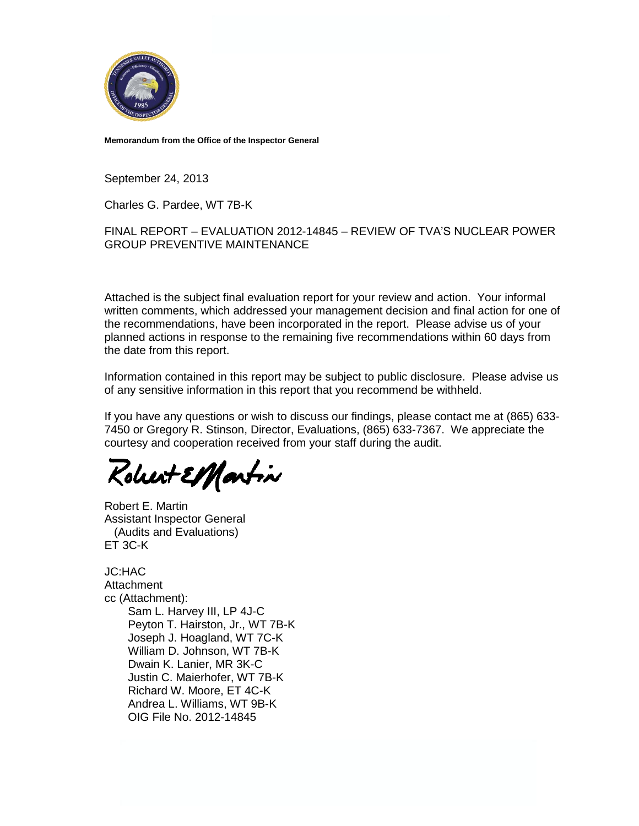

**Memorandum from the Office of the Inspector General**

September 24, 2013

Charles G. Pardee, WT 7B-K

#### FINAL REPORT – EVALUATION 2012-14845 – REVIEW OF TVA'S NUCLEAR POWER GROUP PREVENTIVE MAINTENANCE

Attached is the subject final evaluation report for your review and action. Your informal written comments, which addressed your management decision and final action for one of the recommendations, have been incorporated in the report. Please advise us of your planned actions in response to the remaining five recommendations within 60 days from the date from this report.

Information contained in this report may be subject to public disclosure. Please advise us of any sensitive information in this report that you recommend be withheld.

If you have any questions or wish to discuss our findings, please contact me at (865) 633- 7450 or Gregory R. Stinson, Director, Evaluations, (865) 633-7367. We appreciate the courtesy and cooperation received from your staff during the audit.

Kolurt ElMartin

Robert E. Martin Assistant Inspector General (Audits and Evaluations) ET 3C-K

JC:HAC **Attachment** cc (Attachment): Sam L. Harvey III, LP 4J-C Peyton T. Hairston, Jr., WT 7B-K Joseph J. Hoagland, WT 7C-K William D. Johnson, WT 7B-K Dwain K. Lanier, MR 3K-C Justin C. Maierhofer, WT 7B-K Richard W. Moore, ET 4C-K Andrea L. Williams, WT 9B-K OIG File No. 2012-14845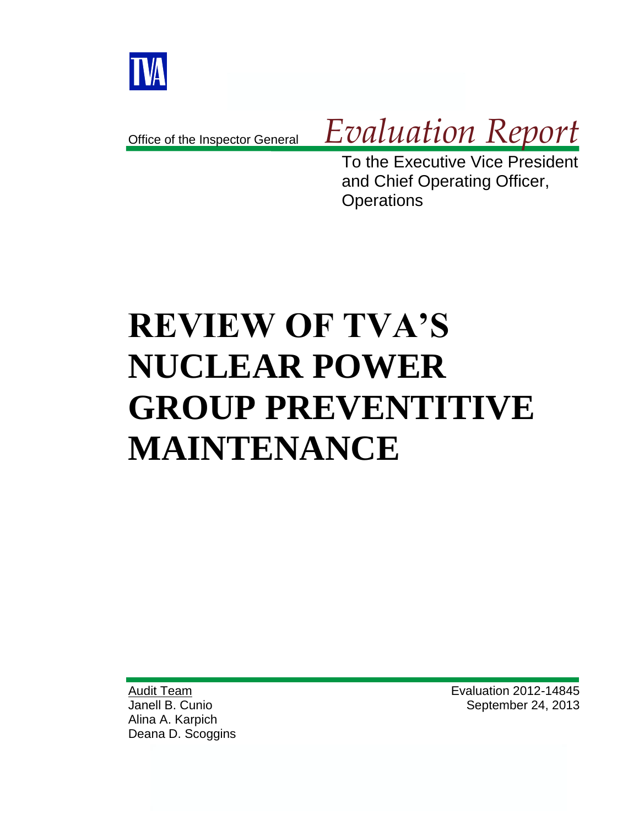

Office of the Inspector General

# *Evaluation Report*

To the Executive Vice President and Chief Operating Officer, **Operations** 

# **REVIEW OF TVA'S NUCLEAR POWER GROUP PREVENTITIVE MAINTENANCE**

Audit Team Janell B. Cunio Alina A. Karpich Deana D. Scoggins Evaluation 2012-14845 September 24, 2013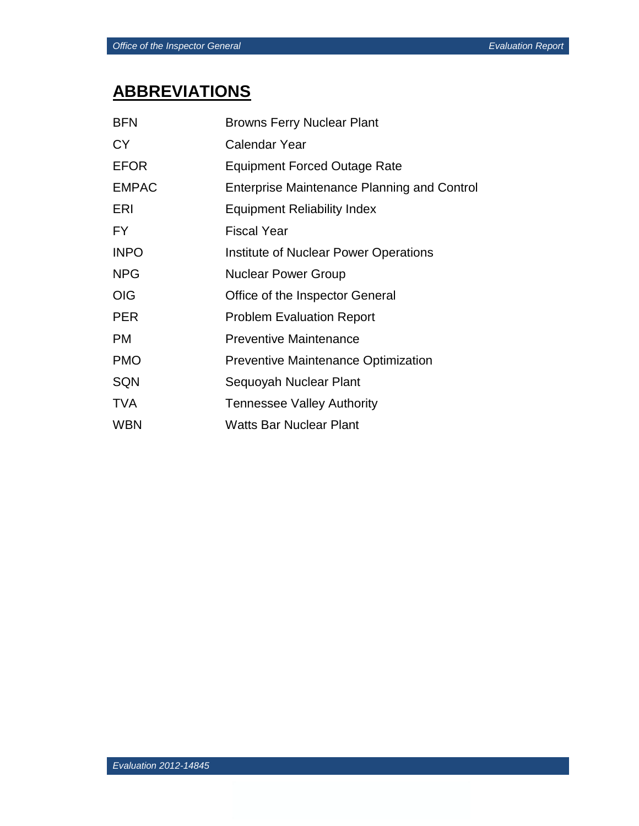# **ABBREVIATIONS**

| <b>BFN</b>   | <b>Browns Ferry Nuclear Plant</b>                  |
|--------------|----------------------------------------------------|
| <b>CY</b>    | <b>Calendar Year</b>                               |
| <b>EFOR</b>  | <b>Equipment Forced Outage Rate</b>                |
| <b>EMPAC</b> | <b>Enterprise Maintenance Planning and Control</b> |
| ERI          | <b>Equipment Reliability Index</b>                 |
| FY.          | <b>Fiscal Year</b>                                 |
| <b>INPO</b>  | Institute of Nuclear Power Operations              |
| <b>NPG</b>   | <b>Nuclear Power Group</b>                         |
| <b>OIG</b>   | Office of the Inspector General                    |
| <b>PER</b>   | <b>Problem Evaluation Report</b>                   |
| <b>PM</b>    | <b>Preventive Maintenance</b>                      |
| <b>PMO</b>   | <b>Preventive Maintenance Optimization</b>         |
| <b>SQN</b>   | Sequoyah Nuclear Plant                             |
| <b>TVA</b>   | <b>Tennessee Valley Authority</b>                  |
| <b>WBN</b>   | <b>Watts Bar Nuclear Plant</b>                     |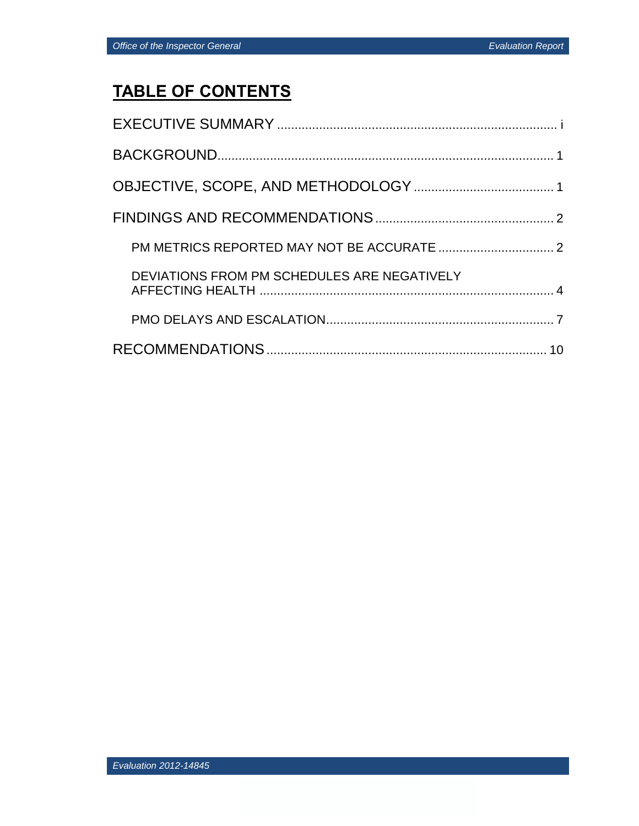# **TABLE OF CONTENTS**

| DEVIATIONS FROM PM SCHEDULES ARE NEGATIVELY |
|---------------------------------------------|
|                                             |
|                                             |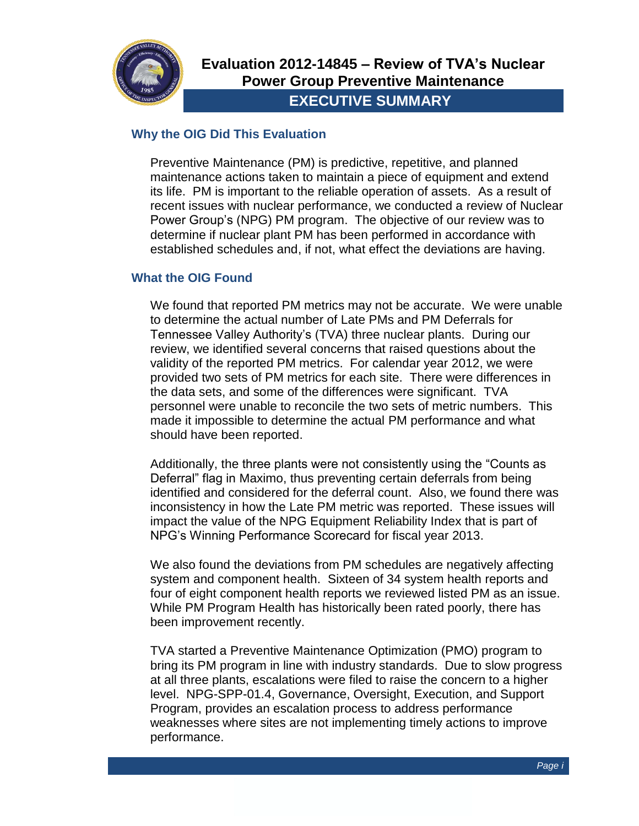

#### **Why the OIG Did This Evaluation**

Preventive Maintenance (PM) is predictive, repetitive, and planned maintenance actions taken to maintain a piece of equipment and extend its life. PM is important to the reliable operation of assets. As a result of recent issues with nuclear performance, we conducted a review of Nuclear Power Group's (NPG) PM program. The objective of our review was to determine if nuclear plant PM has been performed in accordance with established schedules and, if not, what effect the deviations are having.

#### **What the OIG Found**

We found that reported PM metrics may not be accurate. We were unable to determine the actual number of Late PMs and PM Deferrals for Tennessee Valley Authority's (TVA) three nuclear plants. During our review, we identified several concerns that raised questions about the validity of the reported PM metrics. For calendar year 2012, we were provided two sets of PM metrics for each site. There were differences in the data sets, and some of the differences were significant. TVA personnel were unable to reconcile the two sets of metric numbers. This made it impossible to determine the actual PM performance and what should have been reported.

Additionally, the three plants were not consistently using the "Counts as Deferral" flag in Maximo, thus preventing certain deferrals from being identified and considered for the deferral count. Also, we found there was inconsistency in how the Late PM metric was reported. These issues will impact the value of the NPG Equipment Reliability Index that is part of NPG's Winning Performance Scorecard for fiscal year 2013.

We also found the deviations from PM schedules are negatively affecting system and component health. Sixteen of 34 system health reports and four of eight component health reports we reviewed listed PM as an issue. While PM Program Health has historically been rated poorly, there has been improvement recently.

TVA started a Preventive Maintenance Optimization (PMO) program to bring its PM program in line with industry standards. Due to slow progress at all three plants, escalations were filed to raise the concern to a higher level. NPG-SPP-01.4, Governance, Oversight, Execution, and Support Program, provides an escalation process to address performance weaknesses where sites are not implementing timely actions to improve performance.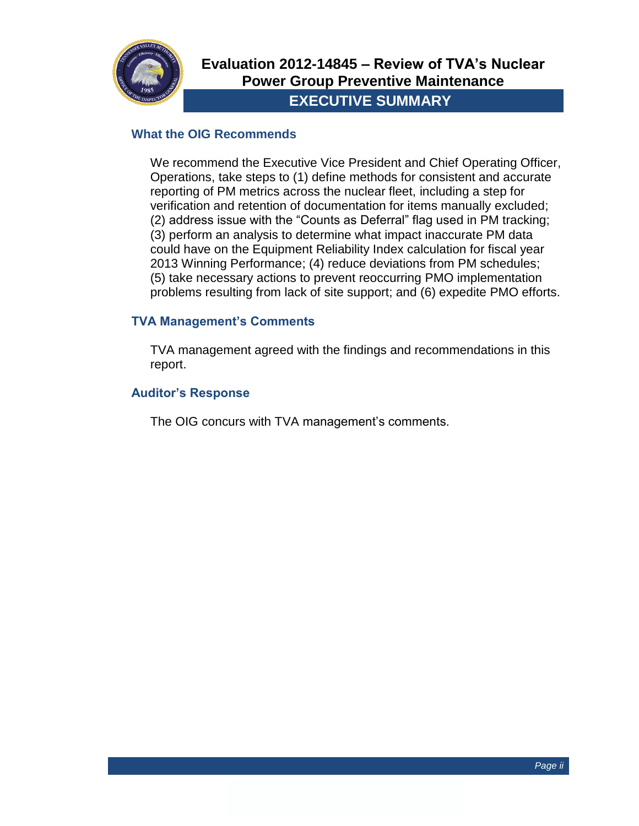

#### **What the OIG Recommends**

We recommend the Executive Vice President and Chief Operating Officer, Operations, take steps to (1) define methods for consistent and accurate reporting of PM metrics across the nuclear fleet, including a step for verification and retention of documentation for items manually excluded; (2) address issue with the "Counts as Deferral" flag used in PM tracking; (3) perform an analysis to determine what impact inaccurate PM data could have on the Equipment Reliability Index calculation for fiscal year 2013 Winning Performance; (4) reduce deviations from PM schedules; (5) take necessary actions to prevent reoccurring PMO implementation problems resulting from lack of site support; and (6) expedite PMO efforts.

#### **TVA Management's Comments**

TVA management agreed with the findings and recommendations in this report.

#### **Auditor's Response**

The OIG concurs with TVA management's comments.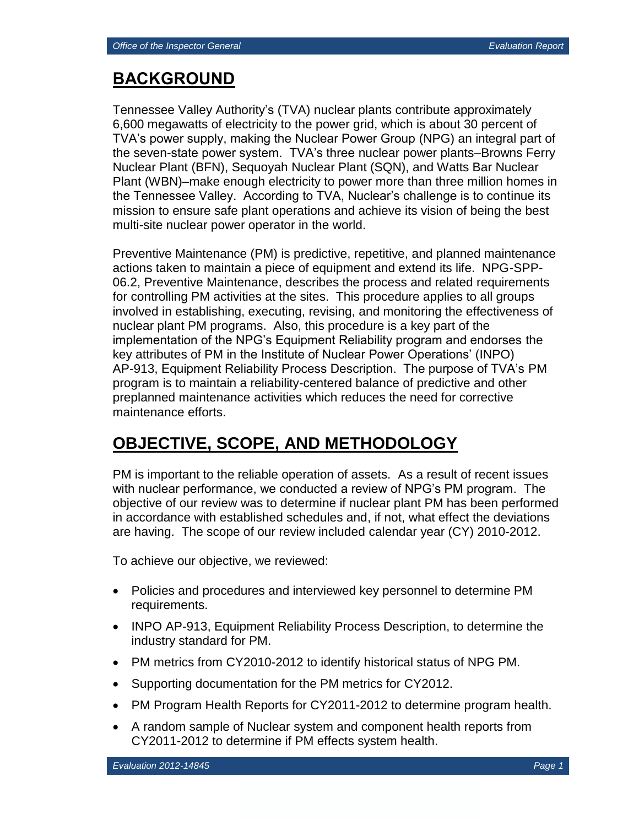# **BACKGROUND**

Tennessee Valley Authority's (TVA) nuclear plants contribute approximately 6,600 megawatts of electricity to the power grid, which is about 30 percent of TVA's power supply, making the Nuclear Power Group (NPG) an integral part of the seven-state power system. TVA's three nuclear power plants–Browns Ferry Nuclear Plant (BFN), Sequoyah Nuclear Plant (SQN), and Watts Bar Nuclear Plant (WBN)–make enough electricity to power more than three million homes in the Tennessee Valley. According to TVA, Nuclear's challenge is to continue its mission to ensure safe plant operations and achieve its vision of being the best multi-site nuclear power operator in the world.

Preventive Maintenance (PM) is predictive, repetitive, and planned maintenance actions taken to maintain a piece of equipment and extend its life. NPG-SPP-06.2, Preventive Maintenance, describes the process and related requirements for controlling PM activities at the sites. This procedure applies to all groups involved in establishing, executing, revising, and monitoring the effectiveness of nuclear plant PM programs. Also, this procedure is a key part of the implementation of the NPG's Equipment Reliability program and endorses the key attributes of PM in the Institute of Nuclear Power Operations' (INPO) AP-913, Equipment Reliability Process Description. The purpose of TVA's PM program is to maintain a reliability-centered balance of predictive and other preplanned maintenance activities which reduces the need for corrective maintenance efforts.

# **OBJECTIVE, SCOPE, AND METHODOLOGY**

PM is important to the reliable operation of assets. As a result of recent issues with nuclear performance, we conducted a review of NPG's PM program. The objective of our review was to determine if nuclear plant PM has been performed in accordance with established schedules and, if not, what effect the deviations are having. The scope of our review included calendar year (CY) 2010-2012.

To achieve our objective, we reviewed:

- Policies and procedures and interviewed key personnel to determine PM requirements.
- INPO AP-913, Equipment Reliability Process Description, to determine the industry standard for PM.
- PM metrics from CY2010-2012 to identify historical status of NPG PM.
- Supporting documentation for the PM metrics for CY2012.
- PM Program Health Reports for CY2011-2012 to determine program health.
- A random sample of Nuclear system and component health reports from CY2011-2012 to determine if PM effects system health.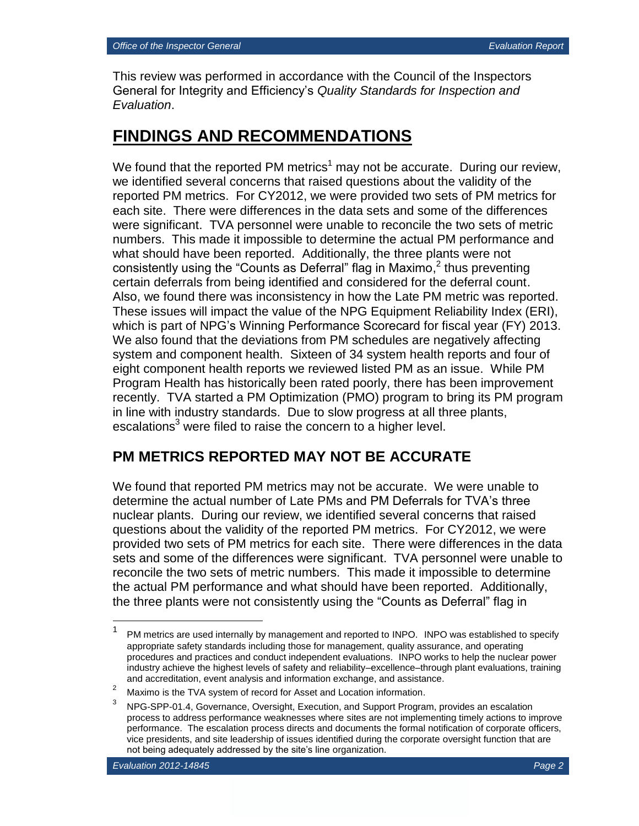This review was performed in accordance with the Council of the Inspectors General for Integrity and Efficiency's *Quality Standards for Inspection and Evaluation*.

# **FINDINGS AND RECOMMENDATIONS**

We found that the reported PM metrics<sup>1</sup> may not be accurate. During our review, we identified several concerns that raised questions about the validity of the reported PM metrics. For CY2012, we were provided two sets of PM metrics for each site. There were differences in the data sets and some of the differences were significant. TVA personnel were unable to reconcile the two sets of metric numbers. This made it impossible to determine the actual PM performance and what should have been reported. Additionally, the three plants were not consistently using the "Counts as Deferral" flag in Maximo,<sup>2</sup> thus preventing certain deferrals from being identified and considered for the deferral count. Also, we found there was inconsistency in how the Late PM metric was reported. These issues will impact the value of the NPG Equipment Reliability Index (ERI), which is part of NPG's Winning Performance Scorecard for fiscal year (FY) 2013. We also found that the deviations from PM schedules are negatively affecting system and component health. Sixteen of 34 system health reports and four of eight component health reports we reviewed listed PM as an issue. While PM Program Health has historically been rated poorly, there has been improvement recently. TVA started a PM Optimization (PMO) program to bring its PM program in line with industry standards. Due to slow progress at all three plants, escalations<sup>3</sup> were filed to raise the concern to a higher level.

### **PM METRICS REPORTED MAY NOT BE ACCURATE**

We found that reported PM metrics may not be accurate. We were unable to determine the actual number of Late PMs and PM Deferrals for TVA's three nuclear plants. During our review, we identified several concerns that raised questions about the validity of the reported PM metrics. For CY2012, we were provided two sets of PM metrics for each site. There were differences in the data sets and some of the differences were significant. TVA personnel were unable to reconcile the two sets of metric numbers. This made it impossible to determine the actual PM performance and what should have been reported. Additionally, the three plants were not consistently using the "Counts as Deferral" flag in

 $\frac{1}{1}$ PM metrics are used internally by management and reported to INPO. INPO was established to specify appropriate safety standards including those for management, quality assurance, and operating procedures and practices and conduct independent evaluations. INPO works to help the nuclear power industry achieve the highest levels of safety and reliability–excellence–through plant evaluations, training and accreditation, event analysis and information exchange, and assistance.

<sup>&</sup>lt;sup>2</sup> Maximo is the TVA system of record for Asset and Location information.

<sup>3</sup> NPG-SPP-01.4, Governance, Oversight, Execution, and Support Program, provides an escalation process to address performance weaknesses where sites are not implementing timely actions to improve performance. The escalation process directs and documents the formal notification of corporate officers, vice presidents, and site leadership of issues identified during the corporate oversight function that are not being adequately addressed by the site's line organization.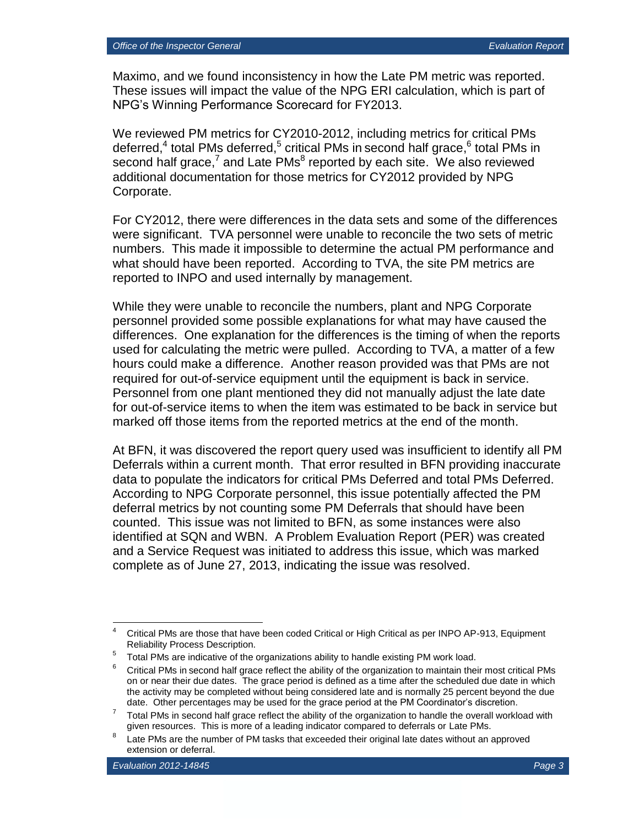Maximo, and we found inconsistency in how the Late PM metric was reported. These issues will impact the value of the NPG ERI calculation, which is part of NPG's Winning Performance Scorecard for FY2013.

We reviewed PM metrics for CY2010-2012, including metrics for critical PMs deferred,<sup>4</sup> total PMs deferred,<sup>5</sup> critical PMs in second half grace,<sup>6</sup> total PMs in second half grace,<sup>7</sup> and Late PMs<sup>8</sup> reported by each site. We also reviewed additional documentation for those metrics for CY2012 provided by NPG Corporate.

For CY2012, there were differences in the data sets and some of the differences were significant. TVA personnel were unable to reconcile the two sets of metric numbers. This made it impossible to determine the actual PM performance and what should have been reported. According to TVA, the site PM metrics are reported to INPO and used internally by management.

While they were unable to reconcile the numbers, plant and NPG Corporate personnel provided some possible explanations for what may have caused the differences. One explanation for the differences is the timing of when the reports used for calculating the metric were pulled. According to TVA, a matter of a few hours could make a difference. Another reason provided was that PMs are not required for out-of-service equipment until the equipment is back in service. Personnel from one plant mentioned they did not manually adjust the late date for out-of-service items to when the item was estimated to be back in service but marked off those items from the reported metrics at the end of the month.

At BFN, it was discovered the report query used was insufficient to identify all PM Deferrals within a current month. That error resulted in BFN providing inaccurate data to populate the indicators for critical PMs Deferred and total PMs Deferred. According to NPG Corporate personnel, this issue potentially affected the PM deferral metrics by not counting some PM Deferrals that should have been counted. This issue was not limited to BFN, as some instances were also identified at SQN and WBN. A Problem Evaluation Report (PER) was created and a Service Request was initiated to address this issue, which was marked complete as of June 27, 2013, indicating the issue was resolved.

 $\overline{4}$ <sup>4</sup> Critical PMs are those that have been coded Critical or High Critical as per INPO AP-913, Equipment Reliability Process Description.

 $5$  Total PMs are indicative of the organizations ability to handle existing PM work load.

 $6$  Critical PMs in second half grace reflect the ability of the organization to maintain their most critical PMs on or near their due dates. The grace period is defined as a time after the scheduled due date in which the activity may be completed without being considered late and is normally 25 percent beyond the due date. Other percentages may be used for the grace period at the PM Coordinator's discretion.

<sup>7</sup> Total PMs in second half grace reflect the ability of the organization to handle the overall workload with given resources. This is more of a leading indicator compared to deferrals or Late PMs.

<sup>8</sup> Late PMs are the number of PM tasks that exceeded their original late dates without an approved extension or deferral.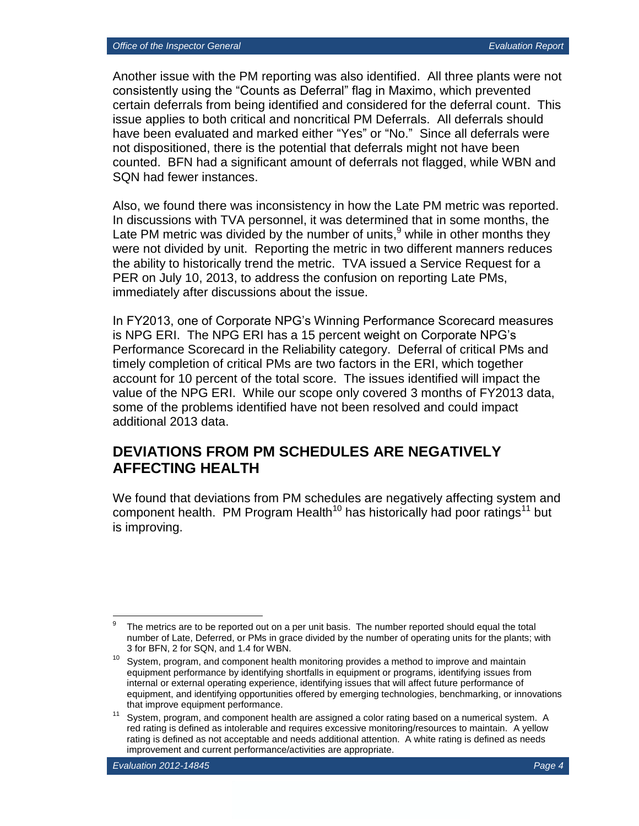Another issue with the PM reporting was also identified. All three plants were not consistently using the "Counts as Deferral" flag in Maximo, which prevented certain deferrals from being identified and considered for the deferral count. This issue applies to both critical and noncritical PM Deferrals. All deferrals should have been evaluated and marked either "Yes" or "No." Since all deferrals were not dispositioned, there is the potential that deferrals might not have been counted. BFN had a significant amount of deferrals not flagged, while WBN and SQN had fewer instances.

Also, we found there was inconsistency in how the Late PM metric was reported. In discussions with TVA personnel, it was determined that in some months, the Late PM metric was divided by the number of units,  $9$  while in other months they were not divided by unit. Reporting the metric in two different manners reduces the ability to historically trend the metric. TVA issued a Service Request for a PER on July 10, 2013, to address the confusion on reporting Late PMs, immediately after discussions about the issue.

In FY2013, one of Corporate NPG's Winning Performance Scorecard measures is NPG ERI. The NPG ERI has a 15 percent weight on Corporate NPG's Performance Scorecard in the Reliability category. Deferral of critical PMs and timely completion of critical PMs are two factors in the ERI, which together account for 10 percent of the total score. The issues identified will impact the value of the NPG ERI. While our scope only covered 3 months of FY2013 data, some of the problems identified have not been resolved and could impact additional 2013 data.

### **DEVIATIONS FROM PM SCHEDULES ARE NEGATIVELY AFFECTING HEALTH**

We found that deviations from PM schedules are negatively affecting system and component health. PM Program Health<sup>10</sup> has historically had poor ratings<sup>11</sup> but is improving.

<sup>9</sup> The metrics are to be reported out on a per unit basis. The number reported should equal the total number of Late, Deferred, or PMs in grace divided by the number of operating units for the plants; with 3 for BFN, 2 for SQN, and 1.4 for WBN.

 $10$  System, program, and component health monitoring provides a method to improve and maintain equipment performance by identifying shortfalls in equipment or programs, identifying issues from internal or external operating experience, identifying issues that will affect future performance of equipment, and identifying opportunities offered by emerging technologies, benchmarking, or innovations that improve equipment performance.

<sup>&</sup>lt;sup>11</sup> System, program, and component health are assigned a color rating based on a numerical system. A red rating is defined as intolerable and requires excessive monitoring/resources to maintain. A yellow rating is defined as not acceptable and needs additional attention. A white rating is defined as needs improvement and current performance/activities are appropriate.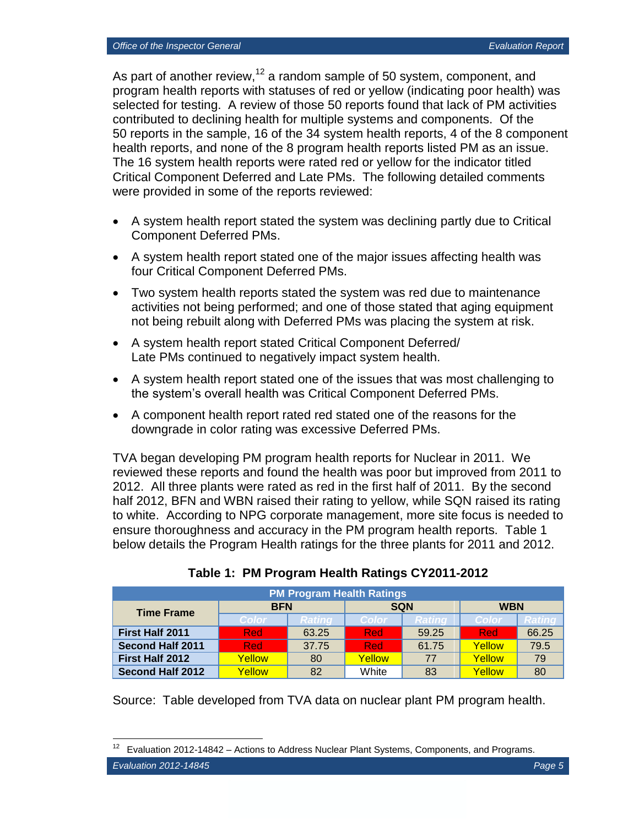As part of another review,<sup>12</sup> a random sample of 50 system, component, and program health reports with statuses of red or yellow (indicating poor health) was selected for testing. A review of those 50 reports found that lack of PM activities contributed to declining health for multiple systems and components. Of the 50 reports in the sample, 16 of the 34 system health reports, 4 of the 8 component health reports, and none of the 8 program health reports listed PM as an issue. The 16 system health reports were rated red or yellow for the indicator titled Critical Component Deferred and Late PMs. The following detailed comments were provided in some of the reports reviewed:

- A system health report stated the system was declining partly due to Critical Component Deferred PMs.
- A system health report stated one of the major issues affecting health was four Critical Component Deferred PMs.
- Two system health reports stated the system was red due to maintenance activities not being performed; and one of those stated that aging equipment not being rebuilt along with Deferred PMs was placing the system at risk.
- A system health report stated Critical Component Deferred/ Late PMs continued to negatively impact system health.
- A system health report stated one of the issues that was most challenging to the system's overall health was Critical Component Deferred PMs.
- A component health report rated red stated one of the reasons for the downgrade in color rating was excessive Deferred PMs.

TVA began developing PM program health reports for Nuclear in 2011. We reviewed these reports and found the health was poor but improved from 2011 to 2012. All three plants were rated as red in the first half of 2011. By the second half 2012, BFN and WBN raised their rating to yellow, while SQN raised its rating to white. According to NPG corporate management, more site focus is needed to ensure thoroughness and accuracy in the PM program health reports. Table 1 below details the Program Health ratings for the three plants for 2011 and 2012.

| <b>PM Program Health Ratings</b> |              |               |            |               |            |        |
|----------------------------------|--------------|---------------|------------|---------------|------------|--------|
| <b>Time Frame</b>                | <b>BFN</b>   |               | <b>SQN</b> |               | <b>WBN</b> |        |
|                                  | <b>Color</b> | <b>Rating</b> | Color/     | <b>Rating</b> | Color      | Ratino |
| <b>First Half 2011</b>           | <b>Red</b>   | 63.25         | <b>Red</b> | 59.25         | <b>Red</b> | 66.25  |
| <b>Second Half 2011</b>          | <b>Red</b>   | 37.75         | <b>Red</b> | 61.75         | Yellow     | 79.5   |
| First Half 2012                  | Yellow       | 80            | Yellow     | 77            | Yellow     | 79     |
| <b>Second Half 2012</b>          | Yellow       | 82            | White      | 83            | Yellow     | 80     |

**Table 1: PM Program Health Ratings CY2011-2012**

Source: Table developed from TVA data on nuclear plant PM program health.

<sup>12</sup> Evaluation 2012-14842 – Actions to Address Nuclear Plant Systems, Components, and Programs.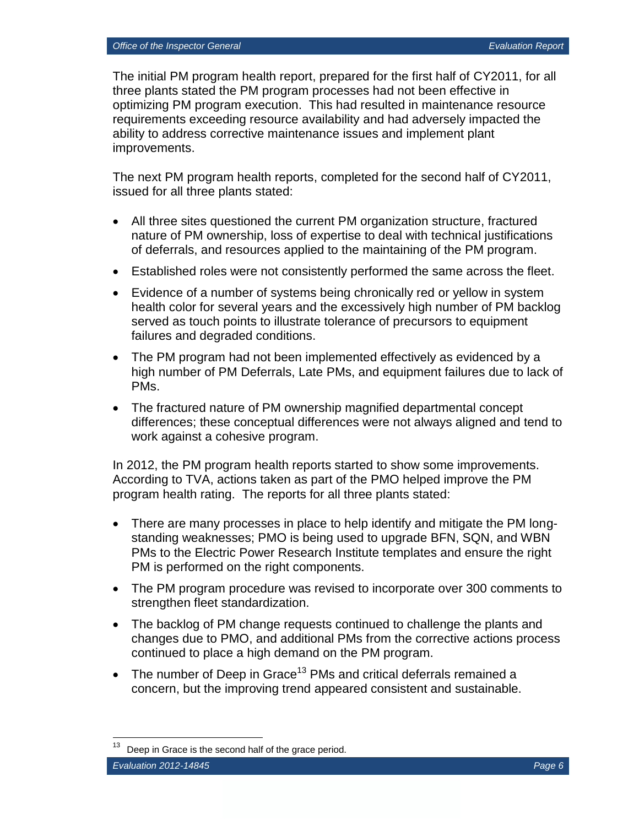The initial PM program health report, prepared for the first half of CY2011, for all three plants stated the PM program processes had not been effective in optimizing PM program execution. This had resulted in maintenance resource requirements exceeding resource availability and had adversely impacted the ability to address corrective maintenance issues and implement plant improvements.

The next PM program health reports, completed for the second half of CY2011, issued for all three plants stated:

- All three sites questioned the current PM organization structure, fractured nature of PM ownership, loss of expertise to deal with technical justifications of deferrals, and resources applied to the maintaining of the PM program.
- Established roles were not consistently performed the same across the fleet.
- Evidence of a number of systems being chronically red or yellow in system health color for several years and the excessively high number of PM backlog served as touch points to illustrate tolerance of precursors to equipment failures and degraded conditions.
- The PM program had not been implemented effectively as evidenced by a high number of PM Deferrals, Late PMs, and equipment failures due to lack of PMs.
- The fractured nature of PM ownership magnified departmental concept differences; these conceptual differences were not always aligned and tend to work against a cohesive program.

In 2012, the PM program health reports started to show some improvements. According to TVA, actions taken as part of the PMO helped improve the PM program health rating. The reports for all three plants stated:

- There are many processes in place to help identify and mitigate the PM longstanding weaknesses; PMO is being used to upgrade BFN, SQN, and WBN PMs to the Electric Power Research Institute templates and ensure the right PM is performed on the right components.
- The PM program procedure was revised to incorporate over 300 comments to strengthen fleet standardization.
- The backlog of PM change requests continued to challenge the plants and changes due to PMO, and additional PMs from the corrective actions process continued to place a high demand on the PM program.
- The number of Deep in Grace<sup>13</sup> PMs and critical deferrals remained a concern, but the improving trend appeared consistent and sustainable.

Deep in Grace is the second half of the grace period.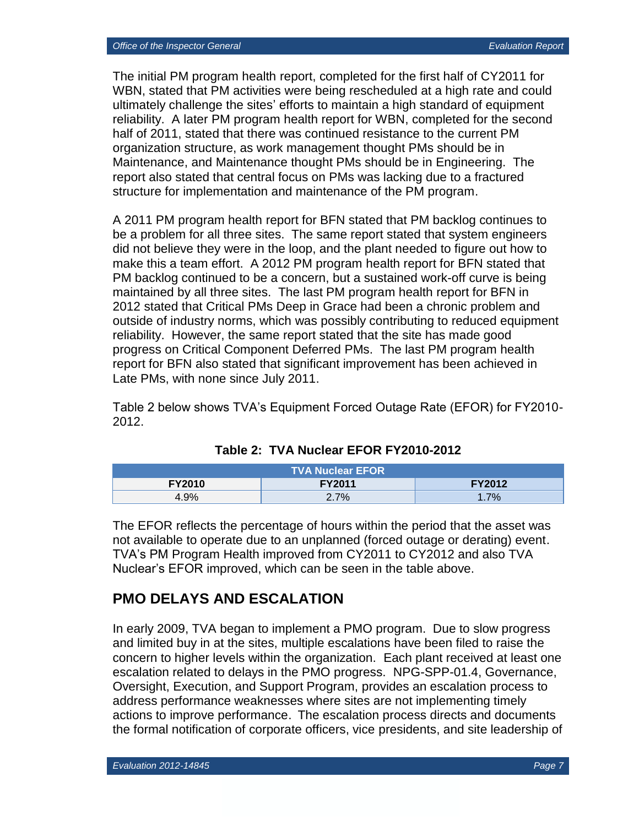The initial PM program health report, completed for the first half of CY2011 for WBN, stated that PM activities were being rescheduled at a high rate and could ultimately challenge the sites' efforts to maintain a high standard of equipment reliability. A later PM program health report for WBN, completed for the second half of 2011, stated that there was continued resistance to the current PM organization structure, as work management thought PMs should be in Maintenance, and Maintenance thought PMs should be in Engineering. The report also stated that central focus on PMs was lacking due to a fractured structure for implementation and maintenance of the PM program.

A 2011 PM program health report for BFN stated that PM backlog continues to be a problem for all three sites. The same report stated that system engineers did not believe they were in the loop, and the plant needed to figure out how to make this a team effort. A 2012 PM program health report for BFN stated that PM backlog continued to be a concern, but a sustained work-off curve is being maintained by all three sites. The last PM program health report for BFN in 2012 stated that Critical PMs Deep in Grace had been a chronic problem and outside of industry norms, which was possibly contributing to reduced equipment reliability. However, the same report stated that the site has made good progress on Critical Component Deferred PMs. The last PM program health report for BFN also stated that significant improvement has been achieved in Late PMs, with none since July 2011.

Table 2 below shows TVA's Equipment Forced Outage Rate (EFOR) for FY2010- 2012.

| <b>TVA Nuclear EFOR</b> ' |               |               |  |  |
|---------------------------|---------------|---------------|--|--|
| <b>FY2010</b>             | <b>FY2011</b> | <b>FY2012</b> |  |  |
| 4.9%                      | 2.7%          | 7%            |  |  |

| Table 2: TVA Nuclear EFOR FY2010-2012 |  |  |  |  |  |
|---------------------------------------|--|--|--|--|--|
|---------------------------------------|--|--|--|--|--|

The EFOR reflects the percentage of hours within the period that the asset was not available to operate due to an unplanned (forced outage or derating) event. TVA's PM Program Health improved from CY2011 to CY2012 and also TVA Nuclear's EFOR improved, which can be seen in the table above.

#### **PMO DELAYS AND ESCALATION**

In early 2009, TVA began to implement a PMO program. Due to slow progress and limited buy in at the sites, multiple escalations have been filed to raise the concern to higher levels within the organization. Each plant received at least one escalation related to delays in the PMO progress. NPG-SPP-01.4, Governance, Oversight, Execution, and Support Program, provides an escalation process to address performance weaknesses where sites are not implementing timely actions to improve performance. The escalation process directs and documents the formal notification of corporate officers, vice presidents, and site leadership of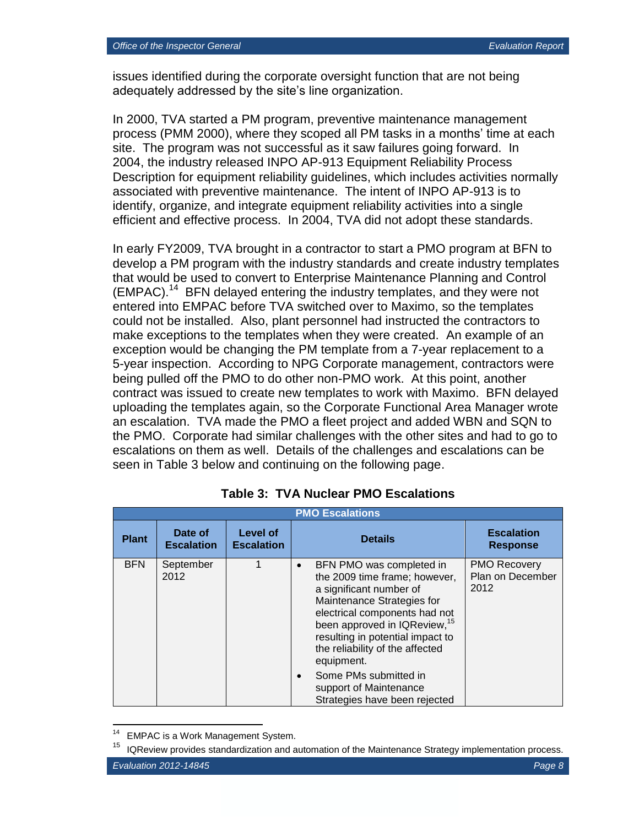issues identified during the corporate oversight function that are not being adequately addressed by the site's line organization.

In 2000, TVA started a PM program, preventive maintenance management process (PMM 2000), where they scoped all PM tasks in a months' time at each site. The program was not successful as it saw failures going forward. In 2004, the industry released INPO AP-913 Equipment Reliability Process Description for equipment reliability guidelines, which includes activities normally associated with preventive maintenance. The intent of INPO AP-913 is to identify, organize, and integrate equipment reliability activities into a single efficient and effective process. In 2004, TVA did not adopt these standards.

In early FY2009, TVA brought in a contractor to start a PMO program at BFN to develop a PM program with the industry standards and create industry templates that would be used to convert to Enterprise Maintenance Planning and Control (EMPAC).<sup>14</sup> BFN delayed entering the industry templates, and they were not entered into EMPAC before TVA switched over to Maximo, so the templates could not be installed. Also, plant personnel had instructed the contractors to make exceptions to the templates when they were created. An example of an exception would be changing the PM template from a 7-year replacement to a 5-year inspection. According to NPG Corporate management, contractors were being pulled off the PMO to do other non-PMO work. At this point, another contract was issued to create new templates to work with Maximo. BFN delayed uploading the templates again, so the Corporate Functional Area Manager wrote an escalation. TVA made the PMO a fleet project and added WBN and SQN to the PMO. Corporate had similar challenges with the other sites and had to go to escalations on them as well. Details of the challenges and escalations can be seen in Table 3 below and continuing on the following page.

| <b>PMO Escalations</b> |                              |                               |                                                                                                                                                                                                                                                                                                   |                                                 |  |
|------------------------|------------------------------|-------------------------------|---------------------------------------------------------------------------------------------------------------------------------------------------------------------------------------------------------------------------------------------------------------------------------------------------|-------------------------------------------------|--|
| <b>Plant</b>           | Date of<br><b>Escalation</b> | Level of<br><b>Escalation</b> | <b>Details</b>                                                                                                                                                                                                                                                                                    | <b>Escalation</b><br><b>Response</b>            |  |
| <b>BFN</b>             | September<br>2012            |                               | BFN PMO was completed in<br>$\bullet$<br>the 2009 time frame; however,<br>a significant number of<br>Maintenance Strategies for<br>electrical components had not<br>been approved in IQReview, <sup>15</sup><br>resulting in potential impact to<br>the reliability of the affected<br>equipment. | <b>PMO Recovery</b><br>Plan on December<br>2012 |  |
|                        |                              |                               | Some PMs submitted in<br>support of Maintenance<br>Strategies have been rejected                                                                                                                                                                                                                  |                                                 |  |

#### **Table 3: TVA Nuclear PMO Escalations**

EMPAC is a Work Management System.

<sup>15</sup> IQReview provides standardization and automation of the Maintenance Strategy implementation process.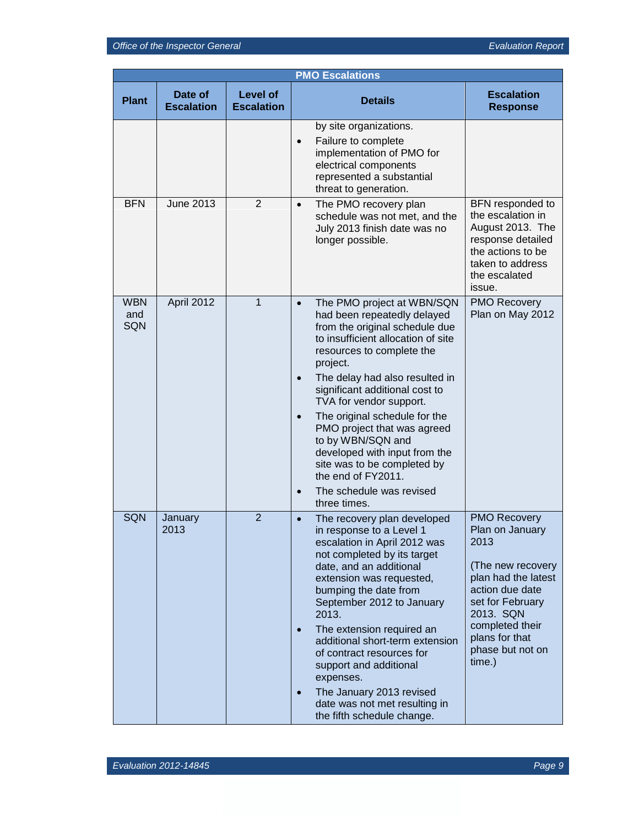| <b>PMO Escalations</b>   |                              |                                      |                                                                                                                                                                                                                                                                                                                                                                                                                                                                                                                                                      |                                                                                                                                                                                                                   |  |
|--------------------------|------------------------------|--------------------------------------|------------------------------------------------------------------------------------------------------------------------------------------------------------------------------------------------------------------------------------------------------------------------------------------------------------------------------------------------------------------------------------------------------------------------------------------------------------------------------------------------------------------------------------------------------|-------------------------------------------------------------------------------------------------------------------------------------------------------------------------------------------------------------------|--|
| <b>Plant</b>             | Date of<br><b>Escalation</b> | <b>Level of</b><br><b>Escalation</b> | <b>Details</b>                                                                                                                                                                                                                                                                                                                                                                                                                                                                                                                                       | <b>Escalation</b><br><b>Response</b>                                                                                                                                                                              |  |
|                          |                              |                                      | by site organizations.<br>Failure to complete<br>$\bullet$<br>implementation of PMO for<br>electrical components<br>represented a substantial<br>threat to generation.                                                                                                                                                                                                                                                                                                                                                                               |                                                                                                                                                                                                                   |  |
| <b>BFN</b>               | <b>June 2013</b>             | $\overline{2}$                       | The PMO recovery plan<br>$\bullet$<br>schedule was not met, and the<br>July 2013 finish date was no<br>longer possible.                                                                                                                                                                                                                                                                                                                                                                                                                              | BFN responded to<br>the escalation in<br>August 2013. The<br>response detailed<br>the actions to be<br>taken to address<br>the escalated<br>issue.                                                                |  |
| <b>WBN</b><br>and<br>SQN | April 2012                   | $\mathbf{1}$                         | The PMO project at WBN/SQN<br>$\bullet$<br>had been repeatedly delayed<br>from the original schedule due<br>to insufficient allocation of site<br>resources to complete the<br>project.<br>The delay had also resulted in<br>$\bullet$<br>significant additional cost to<br>TVA for vendor support.<br>The original schedule for the<br>$\bullet$<br>PMO project that was agreed<br>to by WBN/SQN and<br>developed with input from the<br>site was to be completed by<br>the end of FY2011.<br>The schedule was revised<br>$\bullet$<br>three times. | <b>PMO Recovery</b><br>Plan on May 2012                                                                                                                                                                           |  |
| SQN                      | January<br>2013              | $\overline{2}$                       | The recovery plan developed<br>$\bullet$<br>in response to a Level 1<br>escalation in April 2012 was<br>not completed by its target<br>date, and an additional<br>extension was requested,<br>bumping the date from<br>September 2012 to January<br>2013.<br>The extension required an<br>$\bullet$<br>additional short-term extension<br>of contract resources for<br>support and additional<br>expenses.<br>The January 2013 revised<br>$\bullet$<br>date was not met resulting in<br>the fifth schedule change.                                   | <b>PMO Recovery</b><br>Plan on January<br>2013<br>(The new recovery<br>plan had the latest<br>action due date<br>set for February<br>2013. SQN<br>completed their<br>plans for that<br>phase but not on<br>time.) |  |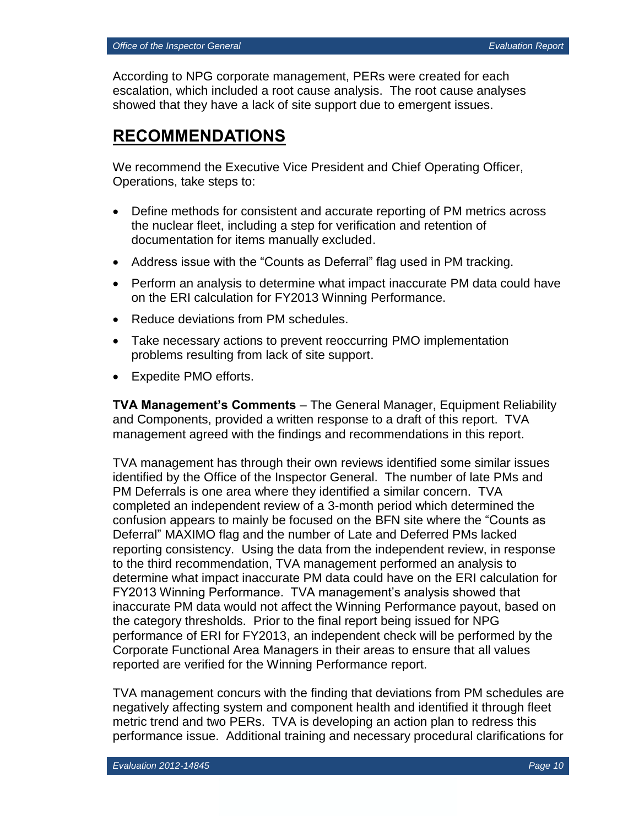According to NPG corporate management, PERs were created for each escalation, which included a root cause analysis. The root cause analyses showed that they have a lack of site support due to emergent issues.

## **RECOMMENDATIONS**

We recommend the Executive Vice President and Chief Operating Officer, Operations, take steps to:

- Define methods for consistent and accurate reporting of PM metrics across the nuclear fleet, including a step for verification and retention of documentation for items manually excluded.
- Address issue with the "Counts as Deferral" flag used in PM tracking.
- Perform an analysis to determine what impact inaccurate PM data could have on the ERI calculation for FY2013 Winning Performance.
- Reduce deviations from PM schedules.
- Take necessary actions to prevent reoccurring PMO implementation problems resulting from lack of site support.
- Expedite PMO efforts.

**TVA Management's Comments** – The General Manager, Equipment Reliability and Components, provided a written response to a draft of this report. TVA management agreed with the findings and recommendations in this report.

TVA management has through their own reviews identified some similar issues identified by the Office of the Inspector General. The number of late PMs and PM Deferrals is one area where they identified a similar concern. TVA completed an independent review of a 3-month period which determined the confusion appears to mainly be focused on the BFN site where the "Counts as Deferral" MAXIMO flag and the number of Late and Deferred PMs lacked reporting consistency. Using the data from the independent review, in response to the third recommendation, TVA management performed an analysis to determine what impact inaccurate PM data could have on the ERI calculation for FY2013 Winning Performance. TVA management's analysis showed that inaccurate PM data would not affect the Winning Performance payout, based on the category thresholds. Prior to the final report being issued for NPG performance of ERI for FY2013, an independent check will be performed by the Corporate Functional Area Managers in their areas to ensure that all values reported are verified for the Winning Performance report.

TVA management concurs with the finding that deviations from PM schedules are negatively affecting system and component health and identified it through fleet metric trend and two PERs. TVA is developing an action plan to redress this performance issue. Additional training and necessary procedural clarifications for